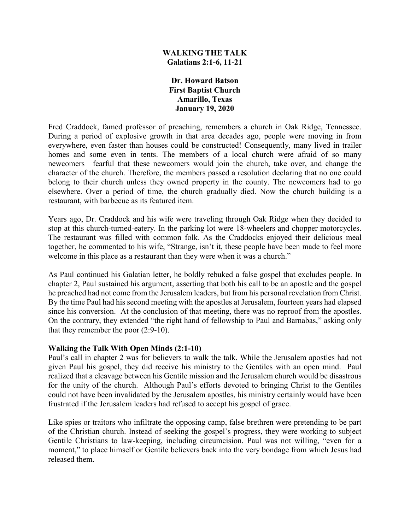## **WALKING THE TALK Galatians 2:1-6, 11-21**

# **Dr. Howard Batson First Baptist Church Amarillo, Texas January 19, 2020**

Fred Craddock, famed professor of preaching, remembers a church in Oak Ridge, Tennessee. During a period of explosive growth in that area decades ago, people were moving in from everywhere, even faster than houses could be constructed! Consequently, many lived in trailer homes and some even in tents. The members of a local church were afraid of so many newcomers—fearful that these newcomers would join the church, take over, and change the character of the church. Therefore, the members passed a resolution declaring that no one could belong to their church unless they owned property in the county. The newcomers had to go elsewhere. Over a period of time, the church gradually died. Now the church building is a restaurant, with barbecue as its featured item.

Years ago, Dr. Craddock and his wife were traveling through Oak Ridge when they decided to stop at this church-turned-eatery. In the parking lot were 18-wheelers and chopper motorcycles. The restaurant was filled with common folk. As the Craddocks enjoyed their delicious meal together, he commented to his wife, "Strange, isn't it, these people have been made to feel more welcome in this place as a restaurant than they were when it was a church."

As Paul continued his Galatian letter, he boldly rebuked a false gospel that excludes people. In chapter 2, Paul sustained his argument, asserting that both his call to be an apostle and the gospel he preached had not come from the Jerusalem leaders, but from his personal revelation from Christ. By the time Paul had his second meeting with the apostles at Jerusalem, fourteen years had elapsed since his conversion. At the conclusion of that meeting, there was no reproof from the apostles. On the contrary, they extended "the right hand of fellowship to Paul and Barnabas," asking only that they remember the poor (2:9-10).

## **Walking the Talk With Open Minds (2:1-10)**

Paul's call in chapter 2 was for believers to walk the talk. While the Jerusalem apostles had not given Paul his gospel, they did receive his ministry to the Gentiles with an open mind. Paul realized that a cleavage between his Gentile mission and the Jerusalem church would be disastrous for the unity of the church. Although Paul's efforts devoted to bringing Christ to the Gentiles could not have been invalidated by the Jerusalem apostles, his ministry certainly would have been frustrated if the Jerusalem leaders had refused to accept his gospel of grace.

Like spies or traitors who infiltrate the opposing camp, false brethren were pretending to be part of the Christian church. Instead of seeking the gospel's progress, they were working to subject Gentile Christians to law-keeping, including circumcision. Paul was not willing, "even for a moment," to place himself or Gentile believers back into the very bondage from which Jesus had released them.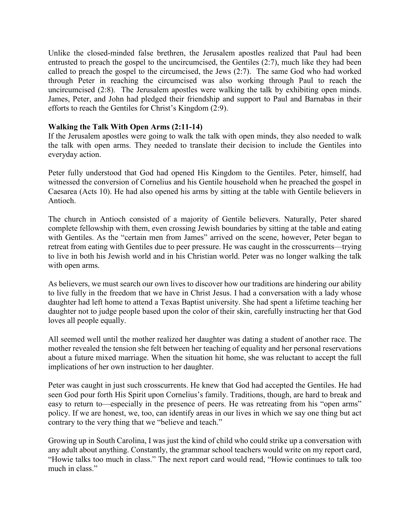Unlike the closed-minded false brethren, the Jerusalem apostles realized that Paul had been entrusted to preach the gospel to the uncircumcised, the Gentiles (2:7), much like they had been called to preach the gospel to the circumcised, the Jews (2:7). The same God who had worked through Peter in reaching the circumcised was also working through Paul to reach the uncircumcised (2:8). The Jerusalem apostles were walking the talk by exhibiting open minds. James, Peter, and John had pledged their friendship and support to Paul and Barnabas in their efforts to reach the Gentiles for Christ's Kingdom (2:9).

## **Walking the Talk With Open Arms (2:11-14)**

If the Jerusalem apostles were going to walk the talk with open minds, they also needed to walk the talk with open arms. They needed to translate their decision to include the Gentiles into everyday action.

Peter fully understood that God had opened His Kingdom to the Gentiles. Peter, himself, had witnessed the conversion of Cornelius and his Gentile household when he preached the gospel in Caesarea (Acts 10). He had also opened his arms by sitting at the table with Gentile believers in Antioch.

The church in Antioch consisted of a majority of Gentile believers. Naturally, Peter shared complete fellowship with them, even crossing Jewish boundaries by sitting at the table and eating with Gentiles. As the "certain men from James" arrived on the scene, however, Peter began to retreat from eating with Gentiles due to peer pressure. He was caught in the crosscurrents—trying to live in both his Jewish world and in his Christian world. Peter was no longer walking the talk with open arms.

As believers, we must search our own lives to discover how our traditions are hindering our ability to live fully in the freedom that we have in Christ Jesus. I had a conversation with a lady whose daughter had left home to attend a Texas Baptist university. She had spent a lifetime teaching her daughter not to judge people based upon the color of their skin, carefully instructing her that God loves all people equally.

All seemed well until the mother realized her daughter was dating a student of another race. The mother revealed the tension she felt between her teaching of equality and her personal reservations about a future mixed marriage. When the situation hit home, she was reluctant to accept the full implications of her own instruction to her daughter.

Peter was caught in just such crosscurrents. He knew that God had accepted the Gentiles. He had seen God pour forth His Spirit upon Cornelius's family. Traditions, though, are hard to break and easy to return to—especially in the presence of peers. He was retreating from his "open arms" policy. If we are honest, we, too, can identify areas in our lives in which we say one thing but act contrary to the very thing that we "believe and teach."

Growing up in South Carolina, I was just the kind of child who could strike up a conversation with any adult about anything. Constantly, the grammar school teachers would write on my report card, "Howie talks too much in class." The next report card would read, "Howie continues to talk too much in class."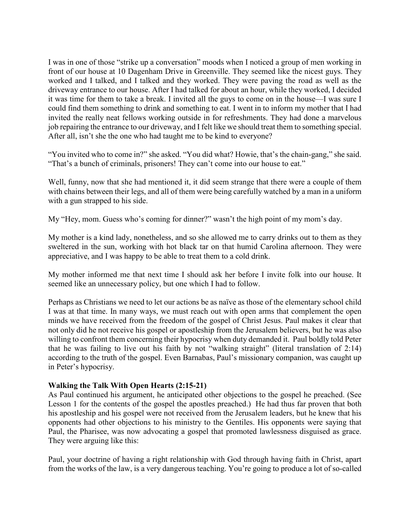I was in one of those "strike up a conversation" moods when I noticed a group of men working in front of our house at 10 Dagenham Drive in Greenville. They seemed like the nicest guys. They worked and I talked, and I talked and they worked. They were paving the road as well as the driveway entrance to our house. After I had talked for about an hour, while they worked, I decided it was time for them to take a break. I invited all the guys to come on in the house—I was sure I could find them something to drink and something to eat. I went in to inform my mother that I had invited the really neat fellows working outside in for refreshments. They had done a marvelous job repairing the entrance to our driveway, and I felt like we should treat them to something special. After all, isn't she the one who had taught me to be kind to everyone?

"You invited who to come in?" she asked. "You did what? Howie, that's the chain-gang," she said. "That's a bunch of criminals, prisoners! They can't come into our house to eat."

Well, funny, now that she had mentioned it, it did seem strange that there were a couple of them with chains between their legs, and all of them were being carefully watched by a man in a uniform with a gun strapped to his side.

My "Hey, mom. Guess who's coming for dinner?" wasn't the high point of my mom's day.

My mother is a kind lady, nonetheless, and so she allowed me to carry drinks out to them as they sweltered in the sun, working with hot black tar on that humid Carolina afternoon. They were appreciative, and I was happy to be able to treat them to a cold drink.

My mother informed me that next time I should ask her before I invite folk into our house. It seemed like an unnecessary policy, but one which I had to follow.

Perhaps as Christians we need to let our actions be as naïve as those of the elementary school child I was at that time. In many ways, we must reach out with open arms that complement the open minds we have received from the freedom of the gospel of Christ Jesus. Paul makes it clear that not only did he not receive his gospel or apostleship from the Jerusalem believers, but he was also willing to confront them concerning their hypocrisy when duty demanded it. Paul boldly told Peter that he was failing to live out his faith by not "walking straight" (literal translation of 2:14) according to the truth of the gospel. Even Barnabas, Paul's missionary companion, was caught up in Peter's hypocrisy.

## **Walking the Talk With Open Hearts (2:15-21)**

As Paul continued his argument, he anticipated other objections to the gospel he preached. (See Lesson 1 for the contents of the gospel the apostles preached.) He had thus far proven that both his apostleship and his gospel were not received from the Jerusalem leaders, but he knew that his opponents had other objections to his ministry to the Gentiles. His opponents were saying that Paul, the Pharisee, was now advocating a gospel that promoted lawlessness disguised as grace. They were arguing like this:

Paul, your doctrine of having a right relationship with God through having faith in Christ, apart from the works of the law, is a very dangerous teaching. You're going to produce a lot of so-called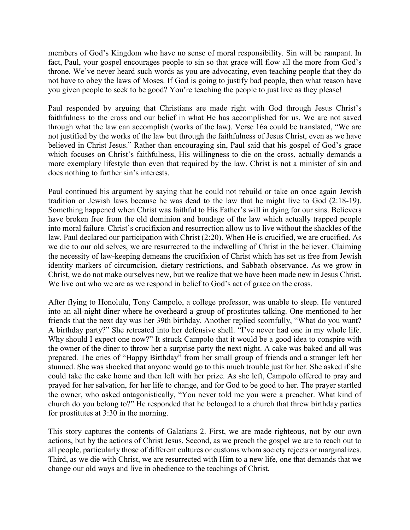members of God's Kingdom who have no sense of moral responsibility. Sin will be rampant. In fact, Paul, your gospel encourages people to sin so that grace will flow all the more from God's throne. We've never heard such words as you are advocating, even teaching people that they do not have to obey the laws of Moses. If God is going to justify bad people, then what reason have you given people to seek to be good? You're teaching the people to just live as they please!

Paul responded by arguing that Christians are made right with God through Jesus Christ's faithfulness to the cross and our belief in what He has accomplished for us. We are not saved through what the law can accomplish (works of the law). Verse 16a could be translated, "We are not justified by the works of the law but through the faithfulness of Jesus Christ, even as we have believed in Christ Jesus." Rather than encouraging sin, Paul said that his gospel of God's grace which focuses on Christ's faithfulness, His willingness to die on the cross, actually demands a more exemplary lifestyle than even that required by the law. Christ is not a minister of sin and does nothing to further sin's interests.

Paul continued his argument by saying that he could not rebuild or take on once again Jewish tradition or Jewish laws because he was dead to the law that he might live to God (2:18-19). Something happened when Christ was faithful to His Father's will in dying for our sins. Believers have broken free from the old dominion and bondage of the law which actually trapped people into moral failure. Christ's crucifixion and resurrection allow us to live without the shackles of the law. Paul declared our participation with Christ (2:20). When He is crucified, we are crucified. As we die to our old selves, we are resurrected to the indwelling of Christ in the believer. Claiming the necessity of law-keeping demeans the crucifixion of Christ which has set us free from Jewish identity markers of circumcision, dietary restrictions, and Sabbath observance. As we grow in Christ, we do not make ourselves new, but we realize that we have been made new in Jesus Christ. We live out who we are as we respond in belief to God's act of grace on the cross.

After flying to Honolulu, Tony Campolo, a college professor, was unable to sleep. He ventured into an all-night diner where he overheard a group of prostitutes talking. One mentioned to her friends that the next day was her 39th birthday. Another replied scornfully, "What do you want? A birthday party?" She retreated into her defensive shell. "I've never had one in my whole life. Why should I expect one now?" It struck Campolo that it would be a good idea to conspire with the owner of the diner to throw her a surprise party the next night. A cake was baked and all was prepared. The cries of "Happy Birthday" from her small group of friends and a stranger left her stunned. She was shocked that anyone would go to this much trouble just for her. She asked if she could take the cake home and then left with her prize. As she left, Campolo offered to pray and prayed for her salvation, for her life to change, and for God to be good to her. The prayer startled the owner, who asked antagonistically, "You never told me you were a preacher. What kind of church do you belong to?" He responded that he belonged to a church that threw birthday parties for prostitutes at 3:30 in the morning.

This story captures the contents of Galatians 2. First, we are made righteous, not by our own actions, but by the actions of Christ Jesus. Second, as we preach the gospel we are to reach out to all people, particularly those of different cultures or customs whom society rejects or marginalizes. Third, as we die with Christ, we are resurrected with Him to a new life, one that demands that we change our old ways and live in obedience to the teachings of Christ.